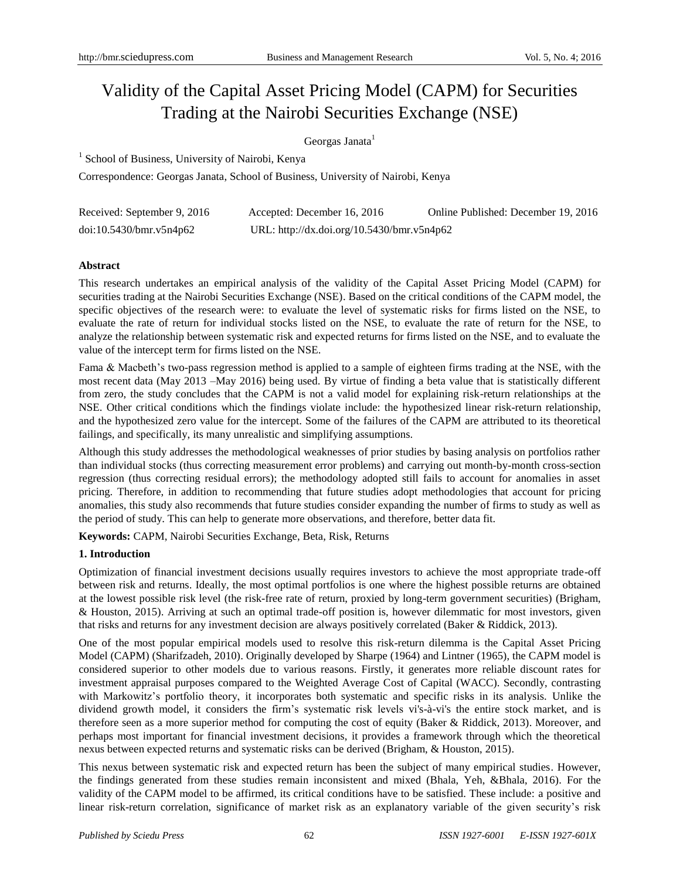# Validity of the Capital Asset Pricing Model (CAPM) for Securities Trading at the Nairobi Securities Exchange (NSE)

Georgas Janata<sup>1</sup>

<sup>1</sup> School of Business, University of Nairobi, Kenya

Correspondence: Georgas Janata, School of Business, University of Nairobi, Kenya

| Received: September 9, 2016 | Accepted: December 16, 2016                | Online Published: December 19, 2016 |
|-----------------------------|--------------------------------------------|-------------------------------------|
| doi:10.5430/bmr.v5n4p62     | URL: http://dx.doi.org/10.5430/bmr.v5n4p62 |                                     |

#### **Abstract**

This research undertakes an empirical analysis of the validity of the Capital Asset Pricing Model (CAPM) for securities trading at the Nairobi Securities Exchange (NSE). Based on the critical conditions of the CAPM model, the specific objectives of the research were: to evaluate the level of systematic risks for firms listed on the NSE, to evaluate the rate of return for individual stocks listed on the NSE, to evaluate the rate of return for the NSE, to analyze the relationship between systematic risk and expected returns for firms listed on the NSE, and to evaluate the value of the intercept term for firms listed on the NSE.

Fama & Macbeth's two-pass regression method is applied to a sample of eighteen firms trading at the NSE, with the most recent data (May 2013 –May 2016) being used. By virtue of finding a beta value that is statistically different from zero, the study concludes that the CAPM is not a valid model for explaining risk-return relationships at the NSE. Other critical conditions which the findings violate include: the hypothesized linear risk-return relationship, and the hypothesized zero value for the intercept. Some of the failures of the CAPM are attributed to its theoretical failings, and specifically, its many unrealistic and simplifying assumptions.

Although this study addresses the methodological weaknesses of prior studies by basing analysis on portfolios rather than individual stocks (thus correcting measurement error problems) and carrying out month-by-month cross-section regression (thus correcting residual errors); the methodology adopted still fails to account for anomalies in asset pricing. Therefore, in addition to recommending that future studies adopt methodologies that account for pricing anomalies, this study also recommends that future studies consider expanding the number of firms to study as well as the period of study. This can help to generate more observations, and therefore, better data fit.

**Keywords:** CAPM, Nairobi Securities Exchange, Beta, Risk, Returns

## **1. Introduction**

Optimization of financial investment decisions usually requires investors to achieve the most appropriate trade-off between risk and returns. Ideally, the most optimal portfolios is one where the highest possible returns are obtained at the lowest possible risk level (the risk-free rate of return, proxied by long-term government securities) (Brigham, & Houston, 2015). Arriving at such an optimal trade-off position is, however dilemmatic for most investors, given that risks and returns for any investment decision are always positively correlated (Baker & Riddick, 2013).

One of the most popular empirical models used to resolve this risk-return dilemma is the Capital Asset Pricing Model (CAPM) (Sharifzadeh, 2010). Originally developed by Sharpe (1964) and Lintner (1965), the CAPM model is considered superior to other models due to various reasons. Firstly, it generates more reliable discount rates for investment appraisal purposes compared to the Weighted Average Cost of Capital (WACC). Secondly, contrasting with Markowitz's portfolio theory, it incorporates both systematic and specific risks in its analysis. Unlike the dividend growth model, it considers the firm's systematic risk levels vi's-à-vi's the entire stock market, and is therefore seen as a more superior method for computing the cost of equity (Baker & Riddick, 2013). Moreover, and perhaps most important for financial investment decisions, it provides a framework through which the theoretical nexus between expected returns and systematic risks can be derived (Brigham, & Houston, 2015).

This nexus between systematic risk and expected return has been the subject of many empirical studies. However, the findings generated from these studies remain inconsistent and mixed (Bhala, Yeh, &Bhala, 2016). For the validity of the CAPM model to be affirmed, its critical conditions have to be satisfied. These include: a positive and linear risk-return correlation, significance of market risk as an explanatory variable of the given security's risk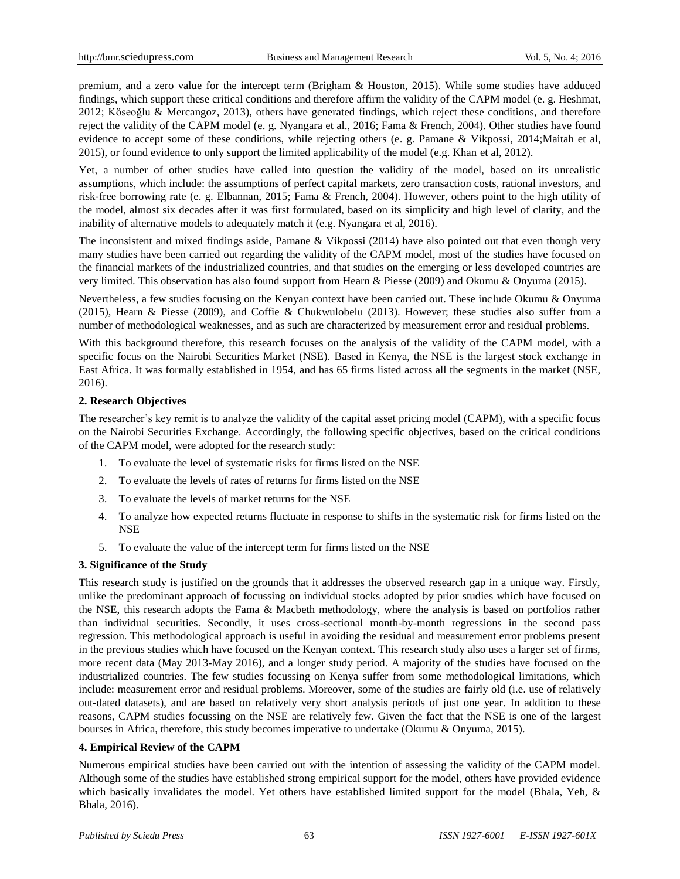premium, and a zero value for the intercept term (Brigham & Houston, 2015). While some studies have adduced findings, which support these critical conditions and therefore affirm the validity of the CAPM model (e. g. Heshmat, 2012; Köseoğlu & Mercangoz, 2013), others have generated findings, which reject these conditions, and therefore reject the validity of the CAPM model (e. g. Nyangara et al., 2016; Fama & French, 2004). Other studies have found evidence to accept some of these conditions, while rejecting others (e. g. Pamane & Vikpossi, 2014;Maitah et al, 2015), or found evidence to only support the limited applicability of the model (e.g. Khan et al, 2012).

Yet, a number of other studies have called into question the validity of the model, based on its unrealistic assumptions, which include: the assumptions of perfect capital markets, zero transaction costs, rational investors, and risk-free borrowing rate (e. g. Elbannan, 2015; Fama & French, 2004). However, others point to the high utility of the model, almost six decades after it was first formulated, based on its simplicity and high level of clarity, and the inability of alternative models to adequately match it (e.g. Nyangara et al, 2016).

The inconsistent and mixed findings aside, Pamane & Vikpossi (2014) have also pointed out that even though very many studies have been carried out regarding the validity of the CAPM model, most of the studies have focused on the financial markets of the industrialized countries, and that studies on the emerging or less developed countries are very limited. This observation has also found support from Hearn & Piesse (2009) and Okumu & Onyuma (2015).

Nevertheless, a few studies focusing on the Kenyan context have been carried out. These include Okumu & Onyuma (2015), Hearn & Piesse (2009), and Coffie & Chukwulobelu (2013). However; these studies also suffer from a number of methodological weaknesses, and as such are characterized by measurement error and residual problems.

With this background therefore, this research focuses on the analysis of the validity of the CAPM model, with a specific focus on the Nairobi Securities Market (NSE). Based in Kenya, the NSE is the largest stock exchange in East Africa. It was formally established in 1954, and has 65 firms listed across all the segments in the market (NSE, 2016).

## **2. Research Objectives**

The researcher's key remit is to analyze the validity of the capital asset pricing model (CAPM), with a specific focus on the Nairobi Securities Exchange. Accordingly, the following specific objectives, based on the critical conditions of the CAPM model, were adopted for the research study:

- 1. To evaluate the level of systematic risks for firms listed on the NSE
- 2. To evaluate the levels of rates of returns for firms listed on the NSE
- 3. To evaluate the levels of market returns for the NSE
- 4. To analyze how expected returns fluctuate in response to shifts in the systematic risk for firms listed on the **NSE**
- 5. To evaluate the value of the intercept term for firms listed on the NSE

# **3. Significance of the Study**

This research study is justified on the grounds that it addresses the observed research gap in a unique way. Firstly, unlike the predominant approach of focussing on individual stocks adopted by prior studies which have focused on the NSE, this research adopts the Fama & Macbeth methodology, where the analysis is based on portfolios rather than individual securities. Secondly, it uses cross-sectional month-by-month regressions in the second pass regression. This methodological approach is useful in avoiding the residual and measurement error problems present in the previous studies which have focused on the Kenyan context. This research study also uses a larger set of firms, more recent data (May 2013-May 2016), and a longer study period. A majority of the studies have focused on the industrialized countries. The few studies focussing on Kenya suffer from some methodological limitations, which include: measurement error and residual problems. Moreover, some of the studies are fairly old (i.e. use of relatively out-dated datasets), and are based on relatively very short analysis periods of just one year. In addition to these reasons, CAPM studies focussing on the NSE are relatively few. Given the fact that the NSE is one of the largest bourses in Africa, therefore, this study becomes imperative to undertake (Okumu & Onyuma, 2015).

## **4. Empirical Review of the CAPM**

Numerous empirical studies have been carried out with the intention of assessing the validity of the CAPM model. Although some of the studies have established strong empirical support for the model, others have provided evidence which basically invalidates the model. Yet others have established limited support for the model (Bhala, Yeh, & Bhala, 2016).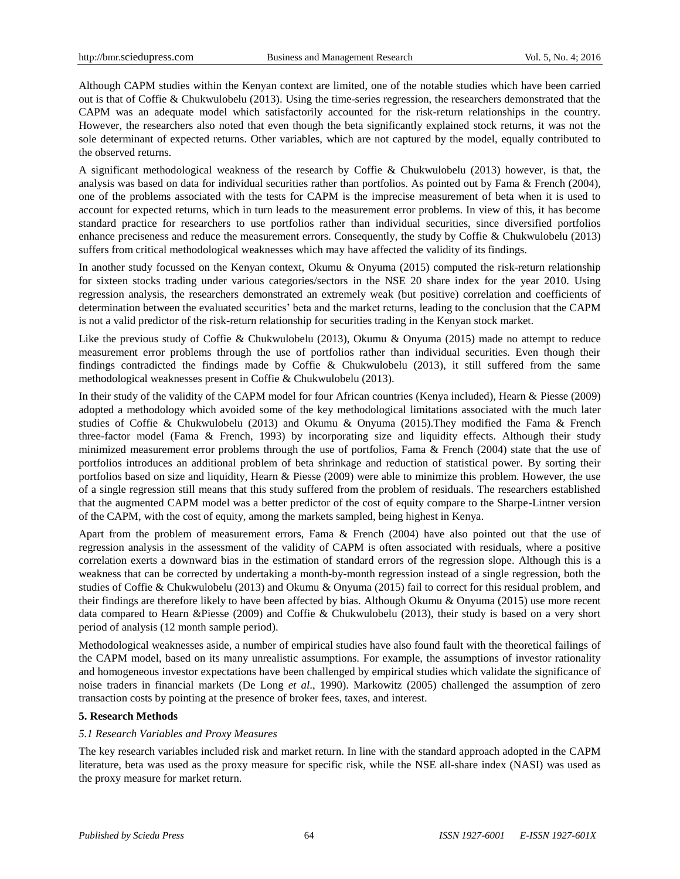Although CAPM studies within the Kenyan context are limited, one of the notable studies which have been carried out is that of Coffie & Chukwulobelu (2013). Using the time-series regression, the researchers demonstrated that the CAPM was an adequate model which satisfactorily accounted for the risk-return relationships in the country. However, the researchers also noted that even though the beta significantly explained stock returns, it was not the sole determinant of expected returns. Other variables, which are not captured by the model, equally contributed to the observed returns.

A significant methodological weakness of the research by Coffie & Chukwulobelu (2013) however, is that, the analysis was based on data for individual securities rather than portfolios. As pointed out by Fama & French (2004), one of the problems associated with the tests for CAPM is the imprecise measurement of beta when it is used to account for expected returns, which in turn leads to the measurement error problems. In view of this, it has become standard practice for researchers to use portfolios rather than individual securities, since diversified portfolios enhance preciseness and reduce the measurement errors. Consequently, the study by Coffie & Chukwulobelu (2013) suffers from critical methodological weaknesses which may have affected the validity of its findings.

In another study focussed on the Kenyan context, Okumu & Onyuma (2015) computed the risk-return relationship for sixteen stocks trading under various categories/sectors in the NSE 20 share index for the year 2010. Using regression analysis, the researchers demonstrated an extremely weak (but positive) correlation and coefficients of determination between the evaluated securities' beta and the market returns, leading to the conclusion that the CAPM is not a valid predictor of the risk-return relationship for securities trading in the Kenyan stock market.

Like the previous study of Coffie & Chukwulobelu (2013), Okumu & Onyuma (2015) made no attempt to reduce measurement error problems through the use of portfolios rather than individual securities. Even though their findings contradicted the findings made by Coffie & Chukwulobelu (2013), it still suffered from the same methodological weaknesses present in Coffie & Chukwulobelu (2013).

In their study of the validity of the CAPM model for four African countries (Kenya included), Hearn & Piesse (2009) adopted a methodology which avoided some of the key methodological limitations associated with the much later studies of Coffie & Chukwulobelu (2013) and Okumu & Onyuma (2015).They modified the Fama & French three-factor model (Fama & French, 1993) by incorporating size and liquidity effects. Although their study minimized measurement error problems through the use of portfolios, Fama & French (2004) state that the use of portfolios introduces an additional problem of beta shrinkage and reduction of statistical power. By sorting their portfolios based on size and liquidity, Hearn & Piesse (2009) were able to minimize this problem. However, the use of a single regression still means that this study suffered from the problem of residuals. The researchers established that the augmented CAPM model was a better predictor of the cost of equity compare to the Sharpe-Lintner version of the CAPM, with the cost of equity, among the markets sampled, being highest in Kenya.

Apart from the problem of measurement errors, Fama & French (2004) have also pointed out that the use of regression analysis in the assessment of the validity of CAPM is often associated with residuals, where a positive correlation exerts a downward bias in the estimation of standard errors of the regression slope. Although this is a weakness that can be corrected by undertaking a month-by-month regression instead of a single regression, both the studies of Coffie & Chukwulobelu (2013) and Okumu & Onyuma (2015) fail to correct for this residual problem, and their findings are therefore likely to have been affected by bias. Although Okumu & Onyuma (2015) use more recent data compared to Hearn &Piesse (2009) and Coffie & Chukwulobelu (2013), their study is based on a very short period of analysis (12 month sample period).

Methodological weaknesses aside, a number of empirical studies have also found fault with the theoretical failings of the CAPM model, based on its many unrealistic assumptions. For example, the assumptions of investor rationality and homogeneous investor expectations have been challenged by empirical studies which validate the significance of noise traders in financial markets (De Long *et al*., 1990). Markowitz (2005) challenged the assumption of zero transaction costs by pointing at the presence of broker fees, taxes, and interest.

# **5. Research Methods**

# *5.1 Research Variables and Proxy Measures*

The key research variables included risk and market return. In line with the standard approach adopted in the CAPM literature, beta was used as the proxy measure for specific risk, while the NSE all-share index (NASI) was used as the proxy measure for market return.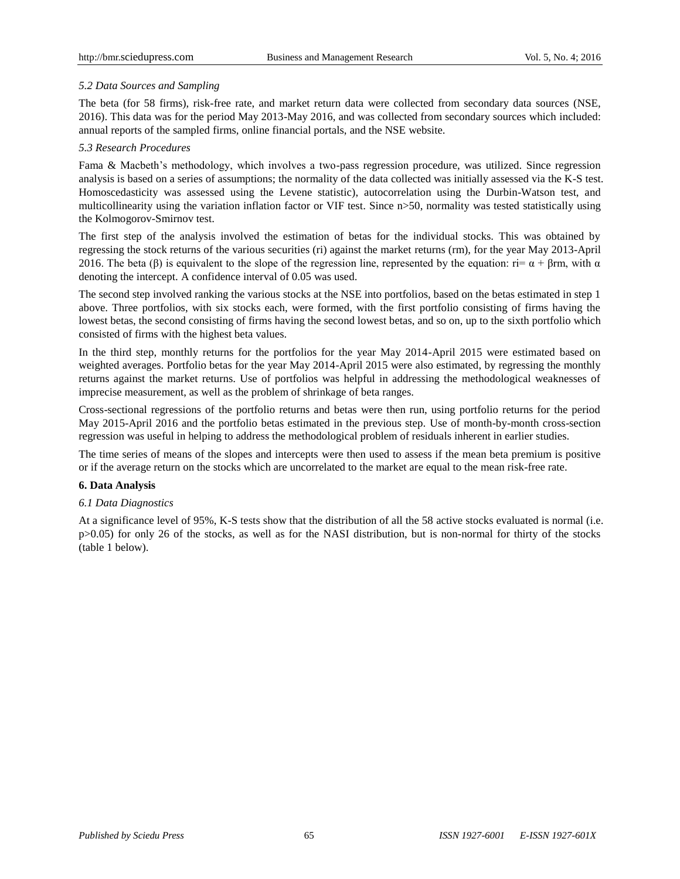## *5.2 Data Sources and Sampling*

The beta (for 58 firms), risk-free rate, and market return data were collected from secondary data sources (NSE, 2016). This data was for the period May 2013-May 2016, and was collected from secondary sources which included: annual reports of the sampled firms, online financial portals, and the NSE website.

## *5.3 Research Procedures*

Fama & Macbeth's methodology, which involves a two-pass regression procedure, was utilized. Since regression analysis is based on a series of assumptions; the normality of the data collected was initially assessed via the K-S test. Homoscedasticity was assessed using the Levene statistic), autocorrelation using the Durbin-Watson test, and multicollinearity using the variation inflation factor or VIF test. Since n>50, normality was tested statistically using the Kolmogorov-Smirnov test.

The first step of the analysis involved the estimation of betas for the individual stocks. This was obtained by regressing the stock returns of the various securities (ri) against the market returns (rm), for the year May 2013-April 2016. The beta (β) is equivalent to the slope of the regression line, represented by the equation: ri=  $\alpha$  + βrm, with  $\alpha$ denoting the intercept. A confidence interval of 0.05 was used.

The second step involved ranking the various stocks at the NSE into portfolios, based on the betas estimated in step 1 above. Three portfolios, with six stocks each, were formed, with the first portfolio consisting of firms having the lowest betas, the second consisting of firms having the second lowest betas, and so on, up to the sixth portfolio which consisted of firms with the highest beta values.

In the third step, monthly returns for the portfolios for the year May 2014-April 2015 were estimated based on weighted averages. Portfolio betas for the year May 2014-April 2015 were also estimated, by regressing the monthly returns against the market returns. Use of portfolios was helpful in addressing the methodological weaknesses of imprecise measurement, as well as the problem of shrinkage of beta ranges.

Cross-sectional regressions of the portfolio returns and betas were then run, using portfolio returns for the period May 2015-April 2016 and the portfolio betas estimated in the previous step. Use of month-by-month cross-section regression was useful in helping to address the methodological problem of residuals inherent in earlier studies.

The time series of means of the slopes and intercepts were then used to assess if the mean beta premium is positive or if the average return on the stocks which are uncorrelated to the market are equal to the mean risk-free rate.

#### **6. Data Analysis**

#### *6.1 Data Diagnostics*

At a significance level of 95%, K-S tests show that the distribution of all the 58 active stocks evaluated is normal (i.e. p>0.05) for only 26 of the stocks, as well as for the NASI distribution, but is non-normal for thirty of the stocks (table 1 below).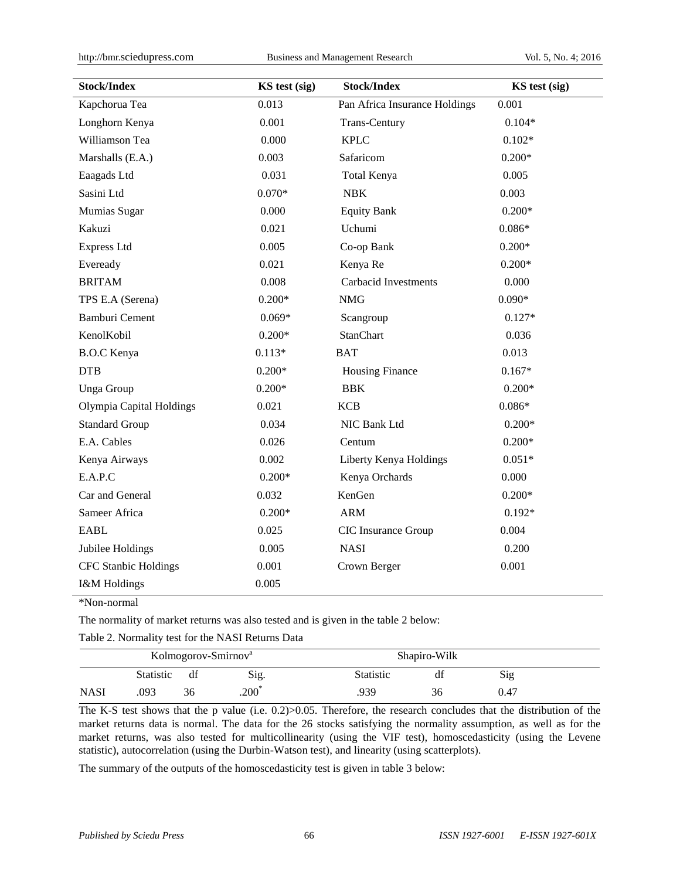| <b>Stock/Index</b>          | KS test (sig) | <b>Stock/Index</b>            | KS test (sig) |
|-----------------------------|---------------|-------------------------------|---------------|
| Kapchorua Tea               | 0.013         | Pan Africa Insurance Holdings | 0.001         |
| Longhorn Kenya              | 0.001         | Trans-Century                 | $0.104*$      |
| Williamson Tea              | 0.000         | <b>KPLC</b>                   | $0.102*$      |
| Marshalls (E.A.)            | 0.003         | Safaricom                     | $0.200*$      |
| Eaagads Ltd                 | 0.031         | Total Kenya                   | 0.005         |
| Sasini Ltd                  | $0.070*$      | <b>NBK</b>                    | 0.003         |
| Mumias Sugar                | 0.000         | <b>Equity Bank</b>            | $0.200*$      |
| Kakuzi                      | 0.021         | Uchumi                        | $0.086*$      |
| Express Ltd                 | 0.005         | Co-op Bank                    | $0.200*$      |
| Eveready                    | 0.021         | Kenya Re                      | $0.200*$      |
| <b>BRITAM</b>               | 0.008         | <b>Carbacid Investments</b>   | 0.000         |
| TPS E.A (Serena)            | $0.200*$      | <b>NMG</b>                    | $0.090*$      |
| <b>Bamburi Cement</b>       | $0.069*$      | Scangroup                     | $0.127*$      |
| KenolKobil                  | $0.200*$      | <b>StanChart</b>              | 0.036         |
| <b>B.O.C Kenya</b>          | $0.113*$      | <b>BAT</b>                    | 0.013         |
| <b>DTB</b>                  | $0.200*$      | <b>Housing Finance</b>        | $0.167*$      |
| Unga Group                  | $0.200*$      | <b>BBK</b>                    | $0.200*$      |
| Olympia Capital Holdings    | 0.021         | <b>KCB</b>                    | $0.086*$      |
| <b>Standard Group</b>       | 0.034         | NIC Bank Ltd                  | $0.200*$      |
| E.A. Cables                 | 0.026         | Centum                        | $0.200*$      |
| Kenya Airways               | 0.002         | Liberty Kenya Holdings        | $0.051*$      |
| E.A.P.C                     | $0.200*$      | Kenya Orchards                | 0.000         |
| Car and General             | 0.032         | KenGen                        | $0.200*$      |
| Sameer Africa               | $0.200*$      | <b>ARM</b>                    | $0.192*$      |
| <b>EABL</b>                 | 0.025         | CIC Insurance Group           | 0.004         |
| Jubilee Holdings            | 0.005         | <b>NASI</b>                   | 0.200         |
| <b>CFC Stanbic Holdings</b> | 0.001         | Crown Berger                  | 0.001         |
| <b>I&amp;M</b> Holdings     | 0.005         |                               |               |

\*Non-normal

The normality of market returns was also tested and is given in the table 2 below:

Table 2. Normality test for the NASI Returns Data

|             | Kolmogorov-Smirnov <sup>a</sup> |    |         | Shapiro-Wilk     |    |      |
|-------------|---------------------------------|----|---------|------------------|----|------|
|             | <b>Statistic</b>                | df | Sig.    | <b>Statistic</b> | df | Sig  |
| <b>NASI</b> | .093                            | 36 | $.200*$ | .939             | 36 | 0.47 |

The K-S test shows that the p value (i.e. 0.2)>0.05. Therefore, the research concludes that the distribution of the market returns data is normal. The data for the 26 stocks satisfying the normality assumption, as well as for the market returns, was also tested for multicollinearity (using the VIF test), homoscedasticity (using the Levene statistic), autocorrelation (using the Durbin-Watson test), and linearity (using scatterplots).

The summary of the outputs of the homoscedasticity test is given in table 3 below: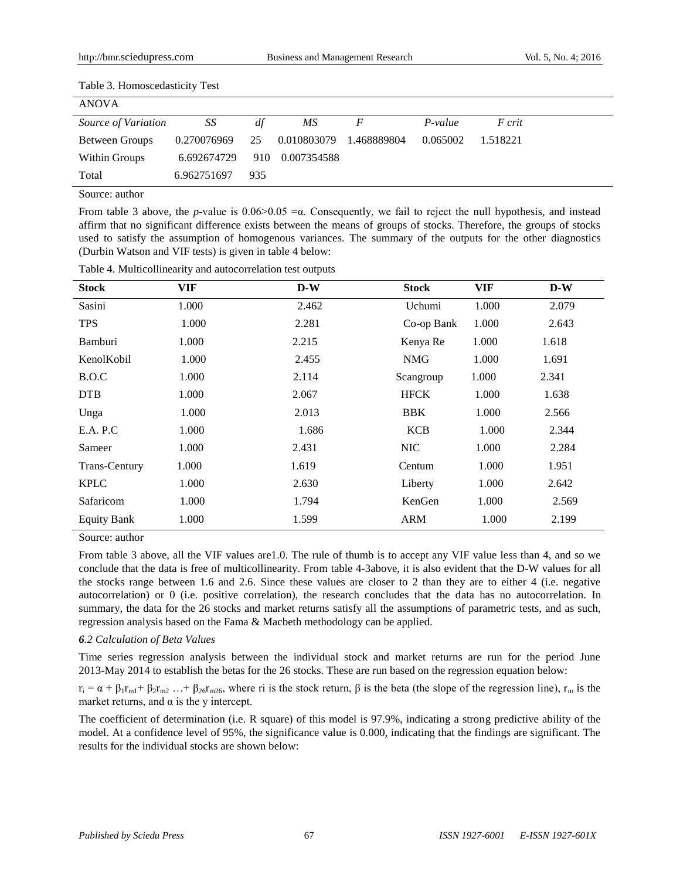| Table 3. Homoscedasticity Test |             |     |                         |                |           |          |  |
|--------------------------------|-------------|-----|-------------------------|----------------|-----------|----------|--|
| <b>ANOVA</b>                   |             |     |                         |                |           |          |  |
| Source of Variation            | SS          | df  | MS                      | $\overline{F}$ | $P-value$ | F crit   |  |
| Between Groups                 | 0.270076969 | 25  | 0.010803079 1.468889804 |                | 0.065002  | 1.518221 |  |
| Within Groups                  | 6.692674729 | 910 | 0.007354588             |                |           |          |  |
| Total                          | 6.962751697 | 935 |                         |                |           |          |  |

Source: author

From table 3 above, the *p*-value is  $0.06 > 0.05 = \alpha$ . Consequently, we fail to reject the null hypothesis, and instead affirm that no significant difference exists between the means of groups of stocks. Therefore, the groups of stocks used to satisfy the assumption of homogenous variances. The summary of the outputs for the other diagnostics (Durbin Watson and VIF tests) is given in table 4 below:

| <b>Stock</b>         | VIF   | $\mathbf{D}\text{-}\mathbf{W}$ | <b>Stock</b> | VIF   | $D-W$ |
|----------------------|-------|--------------------------------|--------------|-------|-------|
| Sasini               | 1.000 | 2.462                          | Uchumi       | 1.000 | 2.079 |
| <b>TPS</b>           | 1.000 | 2.281                          | Co-op Bank   | 1.000 | 2.643 |
| Bamburi              | 1.000 | 2.215                          | Kenya Re     | 1.000 | 1.618 |
| KenolKobil           | 1.000 | 2.455                          | <b>NMG</b>   | 1.000 | 1.691 |
| B.O.C                | 1.000 | 2.114                          | Scangroup    | 1.000 | 2.341 |
| <b>DTB</b>           | 1.000 | 2.067                          | <b>HFCK</b>  | 1.000 | 1.638 |
| Unga                 | 1.000 | 2.013                          | <b>BBK</b>   | 1.000 | 2.566 |
| E.A. P.C             | 1.000 | 1.686                          | <b>KCB</b>   | 1.000 | 2.344 |
| Sameer               | 1.000 | 2.431                          | <b>NIC</b>   | 1.000 | 2.284 |
| <b>Trans-Century</b> | 1.000 | 1.619                          | Centum       | 1.000 | 1.951 |
| <b>KPLC</b>          | 1.000 | 2.630                          | Liberty      | 1.000 | 2.642 |
| Safaricom            | 1.000 | 1.794                          | KenGen       | 1.000 | 2.569 |
| <b>Equity Bank</b>   | 1.000 | 1.599                          | <b>ARM</b>   | 1.000 | 2.199 |

Table 4. Multicollinearity and autocorrelation test outputs

Source: author

From table 3 above, all the VIF values are1.0. The rule of thumb is to accept any VIF value less than 4, and so we conclude that the data is free of multicollinearity. From table 4-3above, it is also evident that the D-W values for all the stocks range between 1.6 and 2.6. Since these values are closer to 2 than they are to either 4 (i.e. negative autocorrelation) or 0 (i.e. positive correlation), the research concludes that the data has no autocorrelation. In summary, the data for the 26 stocks and market returns satisfy all the assumptions of parametric tests, and as such, regression analysis based on the Fama & Macbeth methodology can be applied.

#### *6.2 Calculation of Beta Values*

Time series regression analysis between the individual stock and market returns are run for the period June 2013-May 2014 to establish the betas for the 26 stocks. These are run based on the regression equation below:

 $r_i = \alpha + \beta_1 r_{m1} + \beta_2 r_{m2} \dots + \beta_{26} r_{m26}$ , where ri is the stock return,  $\beta$  is the beta (the slope of the regression line),  $r_m$  is the market returns, and  $\alpha$  is the y intercept.

The coefficient of determination (i.e. R square) of this model is 97.9%, indicating a strong predictive ability of the model. At a confidence level of 95%, the significance value is 0.000, indicating that the findings are significant. The results for the individual stocks are shown below: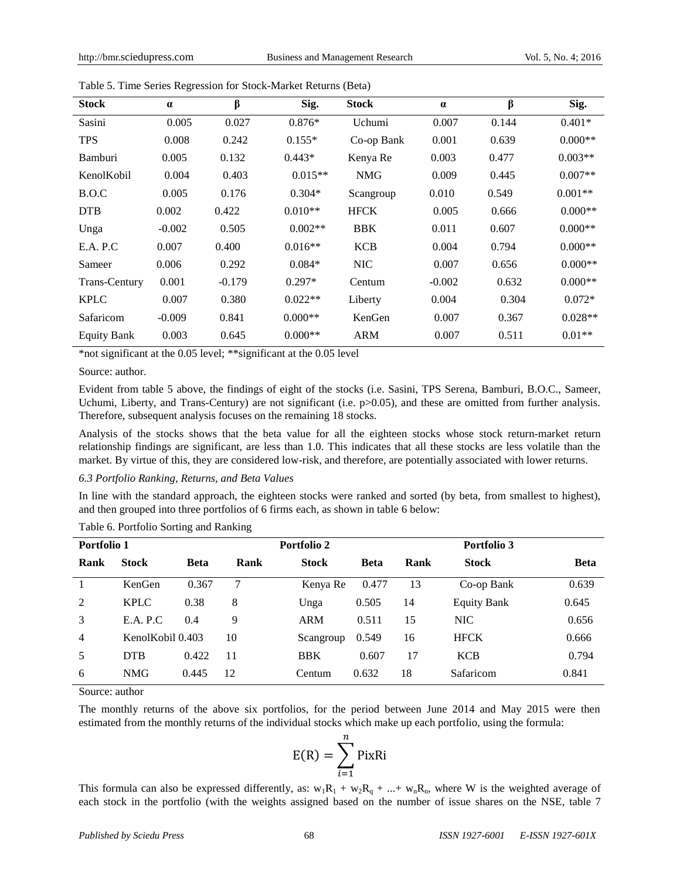| <b>Stock</b>         | $\alpha$ | β        | Sig.      | <b>Stock</b> | $\alpha$ | β     | Sig.      |
|----------------------|----------|----------|-----------|--------------|----------|-------|-----------|
| Sasini               | 0.005    | 0.027    | $0.876*$  | Uchumi       | 0.007    | 0.144 | $0.401*$  |
| <b>TPS</b>           | 0.008    | 0.242    | $0.155*$  | Co-op Bank   | 0.001    | 0.639 | $0.000**$ |
| <b>Bamburi</b>       | 0.005    | 0.132    | $0.443*$  | Kenya Re     | 0.003    | 0.477 | $0.003**$ |
| KenolKobil           | 0.004    | 0.403    | $0.015**$ | <b>NMG</b>   | 0.009    | 0.445 | $0.007**$ |
| B.O.C                | 0.005    | 0.176    | $0.304*$  | Scangroup    | 0.010    | 0.549 | $0.001**$ |
| <b>DTB</b>           | 0.002    | 0.422    | $0.010**$ | <b>HFCK</b>  | 0.005    | 0.666 | $0.000**$ |
| Unga                 | $-0.002$ | 0.505    | $0.002**$ | <b>BBK</b>   | 0.011    | 0.607 | $0.000**$ |
| E.A. P.C             | 0.007    | 0.400    | $0.016**$ | <b>KCB</b>   | 0.004    | 0.794 | $0.000**$ |
| Sameer               | 0.006    | 0.292    | $0.084*$  | NIC          | 0.007    | 0.656 | $0.000**$ |
| <b>Trans-Century</b> | 0.001    | $-0.179$ | $0.297*$  | Centum       | $-0.002$ | 0.632 | $0.000**$ |
| <b>KPLC</b>          | 0.007    | 0.380    | $0.022**$ | Liberty      | 0.004    | 0.304 | $0.072*$  |
| Safaricom            | $-0.009$ | 0.841    | $0.000**$ | KenGen       | 0.007    | 0.367 | $0.028**$ |
| <b>Equity Bank</b>   | 0.003    | 0.645    | $0.000**$ | <b>ARM</b>   | 0.007    | 0.511 | $0.01**$  |

Table 5. Time Series Regression for Stock-Market Returns (Beta)

\*not significant at the 0.05 level; \*\*significant at the 0.05 level

Source: author.

Evident from table 5 above, the findings of eight of the stocks (i.e. Sasini, TPS Serena, Bamburi, B.O.C., Sameer, Uchumi, Liberty, and Trans-Century) are not significant (i.e. p>0.05), and these are omitted from further analysis. Therefore, subsequent analysis focuses on the remaining 18 stocks.

Analysis of the stocks shows that the beta value for all the eighteen stocks whose stock return-market return relationship findings are significant, are less than 1.0. This indicates that all these stocks are less volatile than the market. By virtue of this, they are considered low-risk, and therefore, are potentially associated with lower returns.

#### *6.3 Portfolio Ranking, Returns, and Beta Values*

In line with the standard approach, the eighteen stocks were ranked and sorted (by beta, from smallest to highest), and then grouped into three portfolios of 6 firms each, as shown in table 6 below:

|                | Table 6. Portfolio Sorting and Ranking |             |             |              |             |             |                    |             |  |  |  |
|----------------|----------------------------------------|-------------|-------------|--------------|-------------|-------------|--------------------|-------------|--|--|--|
| Portfolio 1    |                                        |             | Portfolio 2 |              |             | Portfolio 3 |                    |             |  |  |  |
| Rank           | <b>Stock</b>                           | <b>Beta</b> | Rank        | <b>Stock</b> | <b>Beta</b> | Rank        | <b>Stock</b>       | <b>Beta</b> |  |  |  |
|                | KenGen                                 | 0.367       |             | Kenya Re     | 0.477       | 13          | Co-op Bank         | 0.639       |  |  |  |
| $\overline{2}$ | <b>KPLC</b>                            | 0.38        | 8           | Unga         | 0.505       | 14          | <b>Equity Bank</b> | 0.645       |  |  |  |
|                | E.A. P.C.                              | 0.4         | 9           | <b>ARM</b>   | 0.511       | 15          | NIC                | 0.656       |  |  |  |
| 4              | KenolKobil 0.403                       |             | 10          | Scangroup    | 0.549       | 16          | <b>HFCK</b>        | 0.666       |  |  |  |

Table 6. Portfolio Sorting and Ranking

Source: author

The monthly returns of the above six portfolios, for the period between June 2014 and May 2015 were then estimated from the monthly returns of the individual stocks which make up each portfolio, using the formula:

5 DTB 0.422 11 BBK 0.607 17 KCB 0.794 6 NMG 0.445 12 Centum 0.632 18 Safaricom 0.841

$$
E(R) = \sum_{i=1}^{n} PixRi
$$

This formula can also be expressed differently, as:  $w_1R_1 + w_2R_q + ... + w_nR_n$ , where W is the weighted average of each stock in the portfolio (with the weights assigned based on the number of issue shares on the NSE, table 7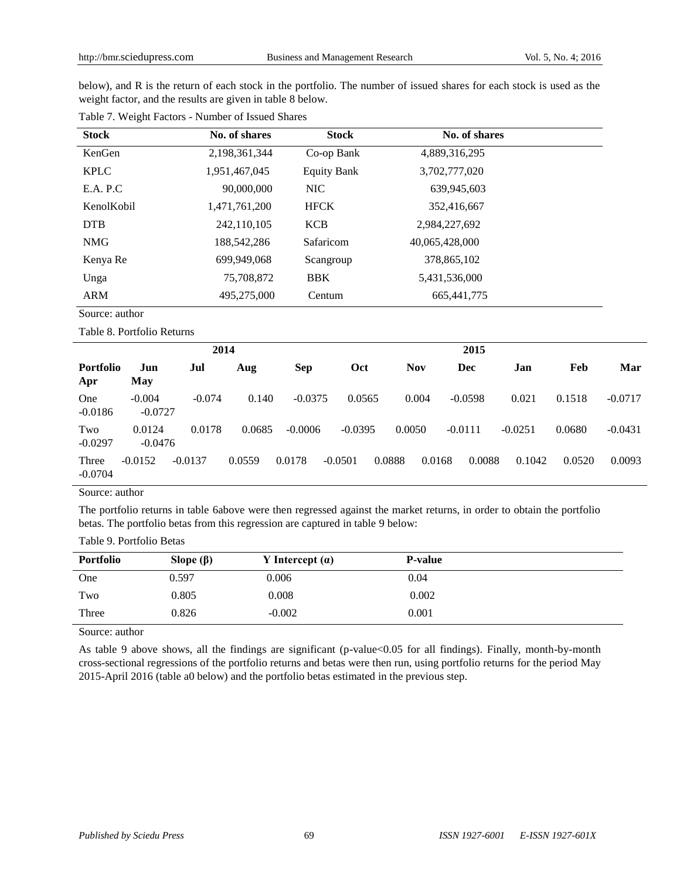below), and R is the return of each stock in the portfolio. The number of issued shares for each stock is used as the weight factor, and the results are given in table 8 below.

| <b>Stock</b> | No. of shares | <b>Stock</b>       | No. of shares  |
|--------------|---------------|--------------------|----------------|
| KenGen       | 2,198,361,344 | Co-op Bank         | 4,889,316,295  |
| <b>KPLC</b>  | 1,951,467,045 | <b>Equity Bank</b> | 3,702,777,020  |
| E.A. P.C.    | 90,000,000    | <b>NIC</b>         | 639,945,603    |
| KenolKobil   | 1,471,761,200 | <b>HFCK</b>        | 352,416,667    |
| <b>DTB</b>   | 242,110,105   | <b>KCB</b>         | 2,984,227,692  |
| <b>NMG</b>   | 188,542,286   | Safaricom          | 40.065.428.000 |
| Kenya Re     | 699,949,068   | Scangroup          | 378,865,102    |
| Unga         | 75,708,872    | <b>BBK</b>         | 5,431,536,000  |
| <b>ARM</b>   | 495,275,000   | Centum             | 665, 441, 775  |

Table 7. Weight Factors - Number of Issued Shares

Source: author

Table 8. Portfolio Returns

|                         |                       | 2014      |        |            |           |            |        | 2015      |           |        |           |
|-------------------------|-----------------------|-----------|--------|------------|-----------|------------|--------|-----------|-----------|--------|-----------|
| <b>Portfolio</b><br>Apr | Jun<br>May            | Jul       | Aug    | <b>Sep</b> | Oct       | <b>Nov</b> |        | Dec       | Jan       | Feb    | Mar       |
| One<br>$-0.0186$        | $-0.004$<br>$-0.0727$ | $-0.074$  | 0.140  | $-0.0375$  | 0.0565    | 0.004      |        | $-0.0598$ | 0.021     | 0.1518 | $-0.0717$ |
| Two<br>$-0.0297$        | 0.0124<br>$-0.0476$   | 0.0178    | 0.0685 | $-0.0006$  | $-0.0395$ | 0.0050     |        | $-0.0111$ | $-0.0251$ | 0.0680 | $-0.0431$ |
| Three<br>$-0.0704$      | $-0.0152$             | $-0.0137$ | 0.0559 | 0.0178     | $-0.0501$ | 0.0888     | 0.0168 | 0.0088    | 0.1042    | 0.0520 | 0.0093    |

Source: author

The portfolio returns in table 6above were then regressed against the market returns, in order to obtain the portfolio betas. The portfolio betas from this regression are captured in table 9 below:

Table 9. Portfolio Betas

| Portfolio | Slope $(\beta)$ | Y Intercept $(a)$ | <b>P-value</b> |  |
|-----------|-----------------|-------------------|----------------|--|
| One       | 0.597           | 0.006             | 0.04           |  |
| Two       | 0.805           | 0.008             | 0.002          |  |
| Three     | 0.826           | $-0.002$          | 0.001          |  |

Source: author

As table 9 above shows, all the findings are significant (p-value < 0.05 for all findings). Finally, month-by-month cross-sectional regressions of the portfolio returns and betas were then run, using portfolio returns for the period May 2015-April 2016 (table a0 below) and the portfolio betas estimated in the previous step.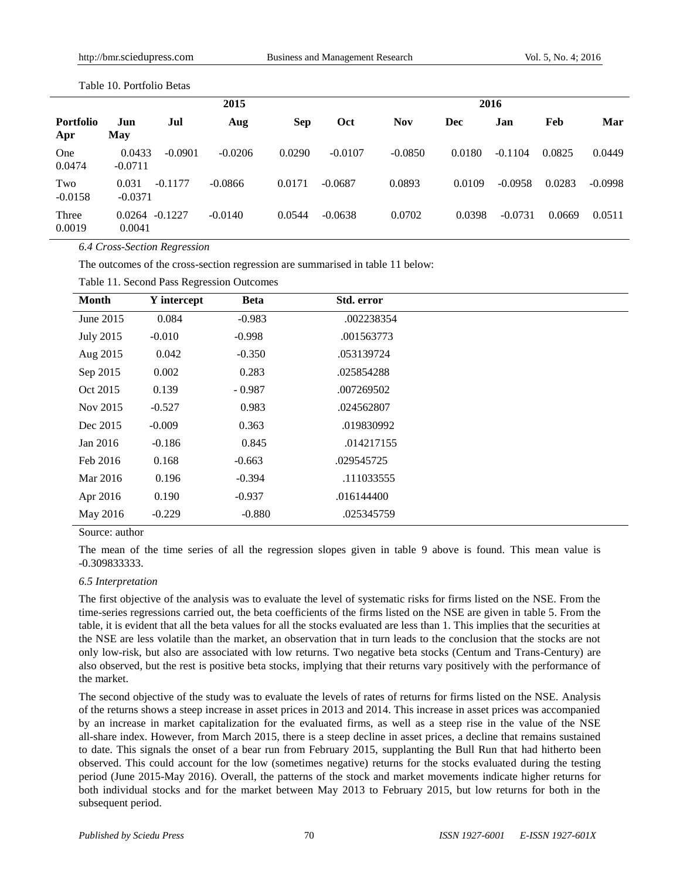Table 10. Portfolio Betas

|                         |                                  | 2015      |            |           |            | 2016   |           |        |           |
|-------------------------|----------------------------------|-----------|------------|-----------|------------|--------|-----------|--------|-----------|
| <b>Portfolio</b><br>Apr | Jul<br>Jun<br><b>May</b>         | Aug       | <b>Sep</b> | Oct       | <b>Nov</b> | Dec    | Jan       | Feb    | Mar       |
| One<br>0.0474           | 0.0433<br>$-0.0901$<br>$-0.0711$ | $-0.0206$ | 0.0290     | $-0.0107$ | $-0.0850$  | 0.0180 | $-0.1104$ | 0.0825 | 0.0449    |
| Two<br>$-0.0158$        | 0.031<br>$-0.1177$<br>$-0.0371$  | $-0.0866$ | 0.0171     | $-0.0687$ | 0.0893     | 0.0109 | $-0.0958$ | 0.0283 | $-0.0998$ |
| Three<br>0.0019         | $-0.1227$<br>0.0264<br>0.0041    | $-0.0140$ | 0.0544     | $-0.0638$ | 0.0702     | 0.0398 | $-0.0731$ | 0.0669 | 0.0511    |

*6.4 Cross-Section Regression*

The outcomes of the cross-section regression are summarised in table 11 below:

Table 11. Second Pass Regression Outcomes

| <b>Month</b>     | Y intercept | <b>Beta</b> | Std. error |  |
|------------------|-------------|-------------|------------|--|
| June 2015        | 0.084       | $-0.983$    | .002238354 |  |
| <b>July 2015</b> | $-0.010$    | $-0.998$    | .001563773 |  |
| Aug 2015         | 0.042       | $-0.350$    | .053139724 |  |
| Sep 2015         | 0.002       | 0.283       | .025854288 |  |
| Oct 2015         | 0.139       | $-0.987$    | .007269502 |  |
| Nov 2015         | $-0.527$    | 0.983       | .024562807 |  |
| Dec 2015         | $-0.009$    | 0.363       | .019830992 |  |
| Jan 2016         | $-0.186$    | 0.845       | .014217155 |  |
| Feb 2016         | 0.168       | $-0.663$    | .029545725 |  |
| Mar 2016         | 0.196       | $-0.394$    | .111033555 |  |
| Apr 2016         | 0.190       | $-0.937$    | .016144400 |  |
| May 2016         | $-0.229$    | $-0.880$    | .025345759 |  |

Source: author

The mean of the time series of all the regression slopes given in table 9 above is found. This mean value is -0.309833333.

#### *6.5 Interpretation*

The first objective of the analysis was to evaluate the level of systematic risks for firms listed on the NSE. From the time-series regressions carried out, the beta coefficients of the firms listed on the NSE are given in table 5. From the table, it is evident that all the beta values for all the stocks evaluated are less than 1. This implies that the securities at the NSE are less volatile than the market, an observation that in turn leads to the conclusion that the stocks are not only low-risk, but also are associated with low returns. Two negative beta stocks (Centum and Trans-Century) are also observed, but the rest is positive beta stocks, implying that their returns vary positively with the performance of the market.

The second objective of the study was to evaluate the levels of rates of returns for firms listed on the NSE. Analysis of the returns shows a steep increase in asset prices in 2013 and 2014. This increase in asset prices was accompanied by an increase in market capitalization for the evaluated firms, as well as a steep rise in the value of the NSE all-share index. However, from March 2015, there is a steep decline in asset prices, a decline that remains sustained to date. This signals the onset of a bear run from February 2015, supplanting the Bull Run that had hitherto been observed. This could account for the low (sometimes negative) returns for the stocks evaluated during the testing period (June 2015-May 2016). Overall, the patterns of the stock and market movements indicate higher returns for both individual stocks and for the market between May 2013 to February 2015, but low returns for both in the subsequent period.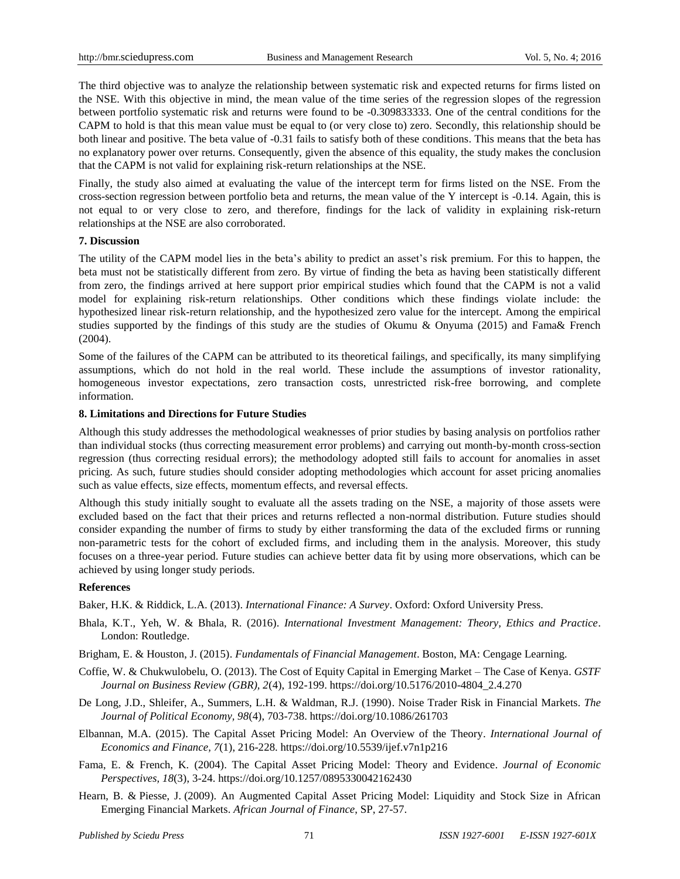The third objective was to analyze the relationship between systematic risk and expected returns for firms listed on the NSE. With this objective in mind, the mean value of the time series of the regression slopes of the regression between portfolio systematic risk and returns were found to be -0.309833333. One of the central conditions for the CAPM to hold is that this mean value must be equal to (or very close to) zero. Secondly, this relationship should be both linear and positive. The beta value of -0.31 fails to satisfy both of these conditions. This means that the beta has no explanatory power over returns. Consequently, given the absence of this equality, the study makes the conclusion that the CAPM is not valid for explaining risk-return relationships at the NSE.

Finally, the study also aimed at evaluating the value of the intercept term for firms listed on the NSE. From the cross-section regression between portfolio beta and returns, the mean value of the Y intercept is -0.14. Again, this is not equal to or very close to zero, and therefore, findings for the lack of validity in explaining risk-return relationships at the NSE are also corroborated.

#### **7. Discussion**

The utility of the CAPM model lies in the beta's ability to predict an asset's risk premium. For this to happen, the beta must not be statistically different from zero. By virtue of finding the beta as having been statistically different from zero, the findings arrived at here support prior empirical studies which found that the CAPM is not a valid model for explaining risk-return relationships. Other conditions which these findings violate include: the hypothesized linear risk-return relationship, and the hypothesized zero value for the intercept. Among the empirical studies supported by the findings of this study are the studies of Okumu & Onyuma (2015) and Fama& French (2004).

Some of the failures of the CAPM can be attributed to its theoretical failings, and specifically, its many simplifying assumptions, which do not hold in the real world. These include the assumptions of investor rationality, homogeneous investor expectations, zero transaction costs, unrestricted risk-free borrowing, and complete information.

#### **8. Limitations and Directions for Future Studies**

Although this study addresses the methodological weaknesses of prior studies by basing analysis on portfolios rather than individual stocks (thus correcting measurement error problems) and carrying out month-by-month cross-section regression (thus correcting residual errors); the methodology adopted still fails to account for anomalies in asset pricing. As such, future studies should consider adopting methodologies which account for asset pricing anomalies such as value effects, size effects, momentum effects, and reversal effects.

Although this study initially sought to evaluate all the assets trading on the NSE, a majority of those assets were excluded based on the fact that their prices and returns reflected a non-normal distribution. Future studies should consider expanding the number of firms to study by either transforming the data of the excluded firms or running non-parametric tests for the cohort of excluded firms, and including them in the analysis. Moreover, this study focuses on a three-year period. Future studies can achieve better data fit by using more observations, which can be achieved by using longer study periods.

## **References**

Baker, H.K. & Riddick, L.A. (2013). *International Finance: A Survey*. Oxford: Oxford University Press.

- Bhala, K.T., Yeh, W. & Bhala, R. (2016). *International Investment Management: Theory, Ethics and Practice*. London: Routledge.
- Brigham, E. & Houston, J. (2015). *Fundamentals of Financial Management*. Boston, MA: Cengage Learning.
- Coffie, W. & Chukwulobelu, O. (2013). The Cost of Equity Capital in Emerging Market The Case of Kenya. *GSTF Journal on Business Review (GBR), 2*(4), 192-199. [https://doi.org/10.5176/2010-4804\\_2.4.270](https://doi.org/10.5176/2010-4804_2.4.270)
- De Long, J.D., Shleifer, A., Summers, L.H. & Waldman, R.J. (1990). Noise Trader Risk in Financial Markets. *The Journal of Political Economy, 98*(4), 703-738. <https://doi.org/10.1086/261703>
- Elbannan, M.A. (2015). The Capital Asset Pricing Model: An Overview of the Theory. *International Journal of Economics and Finance, 7*(1), 216-228[. https://doi.org/10.5539/ijef.v7n1p216](https://doi.org/10.5539/ijef.v7n1p216)
- Fama, E. & French, K. (2004). The Capital Asset Pricing Model: Theory and Evidence. *Journal of Economic Perspectives, 18*(3), 3-24[. https://doi.org/10.1257/0895330042162430](https://doi.org/10.1257/0895330042162430)
- Hearn, B. & Piesse, J. (2009). An Augmented Capital Asset Pricing Model: Liquidity and Stock Size in African Emerging Financial Markets. *African Journal of Finance*, SP, 27-57.